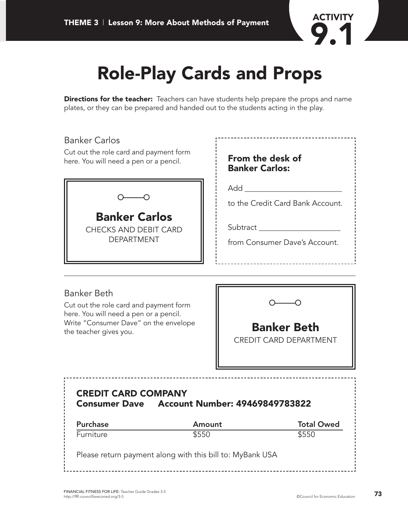

# **Role-Play Cards and Props**

**Directions for the teacher:** Teachers can have students help prepare the props and name plates, or they can be prepared and handed out to the students acting in the play.

| <b>Banker Carlos</b><br>Cut out the role card and payment form<br>here. You will need a pen or a pencil. | From the desk of<br><b>Banker Carlos:</b>                                            |
|----------------------------------------------------------------------------------------------------------|--------------------------------------------------------------------------------------|
| <b>Banker Carlos</b><br><b>CHECKS AND DEBIT CARD</b><br><b>DEPARTMENT</b>                                | Add<br>to the Credit Card Bank Account.<br>Subtract<br>from Consumer Dave's Account. |
| <b>Banker Beth</b>                                                                                       |                                                                                      |

### Banker Beth

Cut out the role card and payment form here. You will need a pen or a pencil. Write "Consumer Dave" on the envelope the teacher gives you. **Banker Beth**



CREDIT CARD DEPARTMENT

# **CREDIT CARD COMPANY Consumer Dave Account Number: 49469849783822**

| <b>Purchase</b>                                           | Amount | <b>Total Owed</b> |
|-----------------------------------------------------------|--------|-------------------|
| Furniture                                                 | \$550  | \$550             |
| Please return payment along with this bill to: MyBank USA |        |                   |

<u>\_\_\_\_\_\_\_\_\_\_\_</u>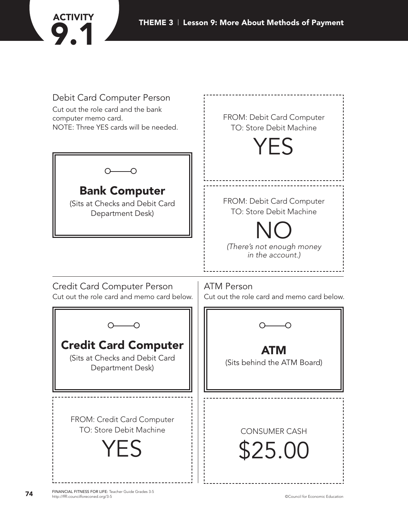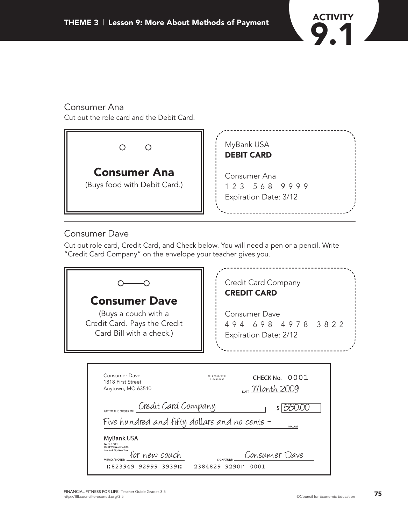

# Consumer Ana

Cut out the role card and the Debit Card.



## Consumer Dave

Cut out role card, Credit Card, and Check below. You will need a pen or a pencil. Write "Credit Card Company" on the envelope your teacher gives you.

| <b>Consumer Dave</b><br>(Buys a couch with a<br>Credit Card. Pays the Credit<br>Card Bill with a check.)                                                                                                                                  | Credit Card Company<br><b>CREDIT CARD</b><br><b>Consumer Dave</b><br>494 698 4978 3822<br>Expiration Date: 2/12 |
|-------------------------------------------------------------------------------------------------------------------------------------------------------------------------------------------------------------------------------------------|-----------------------------------------------------------------------------------------------------------------|
| Consumer Dave<br>1818 First Street<br>Anytown, MO 63510                                                                                                                                                                                   | 90-29304/2934<br>CHECK No. 0001<br>1930000000<br>DATE Month 2009                                                |
| Credit Card Company<br>PAY TO THE ORDER OF<br>Five hundred and fifty dollars and no cents -<br>MyBank USA<br>123-457-7891<br>19204 W. Blank Check St<br>New York City, New York<br>for new couch<br>MEMO / NOTES<br>1:823949 92999 39391: | $s$   550.00<br><b>DOLLARS</b><br>Consumer Dave<br>SIGNATURE:<br>2384829 9290"<br>0001                          |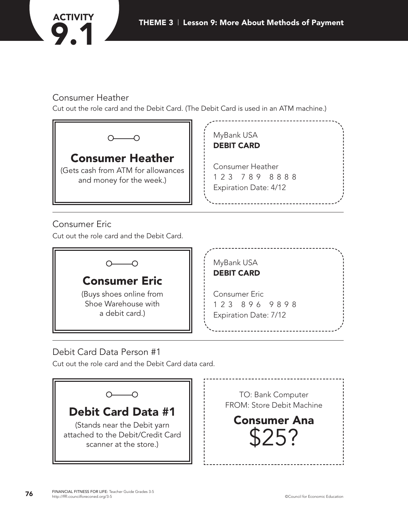

# Consumer Heather

Cut out the role card and the Debit Card. (The Debit Card is used in an ATM machine.)



Cut out the role card and the Debit Card.



# Debit Card Data Person #1

Cut out the role card and the Debit Card data card.

|                                                                                                                         | TO: Bank Computer<br>FROM: Store Debit Machine |
|-------------------------------------------------------------------------------------------------------------------------|------------------------------------------------|
| <b>Debit Card Data #1</b><br>(Stands near the Debit yarn<br>attached to the Debit/Credit Card<br>scanner at the store.) | <b>Consumer Ana</b>                            |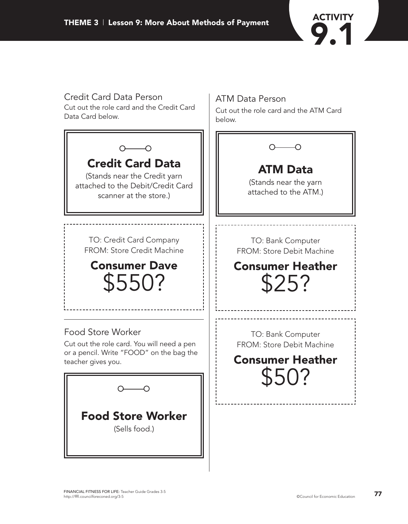

# Credit Card Data Person ATM Data Person Cut out the role card and the Credit Card Cut out the role card and the ATM Card Data Card below. below.  $\sim$  $O$  -  $O$ **Credit Card Data ATM Data** (Stands near the Credit yarn (Stands near the yarn attached to the Debit/Credit Card attached to the ATM.) scanner at the store.) TO: Credit Card Company TO: Bank Computer FROM: Store Credit Machine FROM: Store Debit Machine **Consumer Heather Consumer Dave** \$550?\$25? Food Store Worker TO: Bank Computer Cut out the role card. You will need a pen FROM: Store Debit Machine or a pencil. Write "FOOD" on the bag the **Consumer Heather** teacher gives you. \$50?  $\circ$  0 **Food Store Worker** (Sells food.)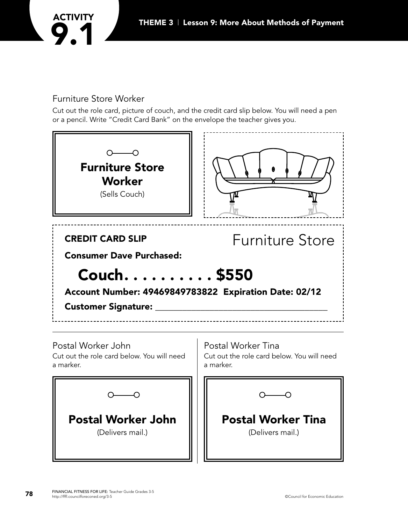

### Furniture Store Worker

Cut out the role card, picture of couch, and the credit card slip below. You will need a pen or a pencil. Write "Credit Card Bank" on the envelope the teacher gives you.

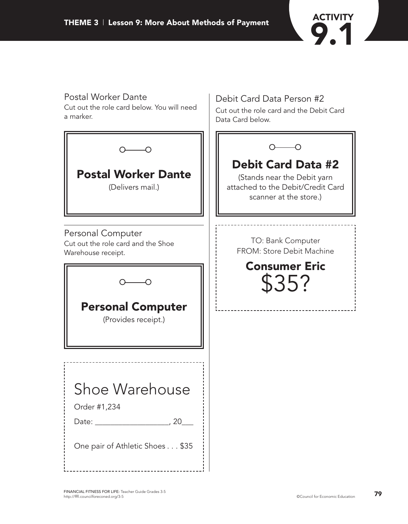

Debit Card Data Person #2

Cut out the role card and the Debit Card

# Postal Worker Dante

Cut out the role card below. You will need a marker.

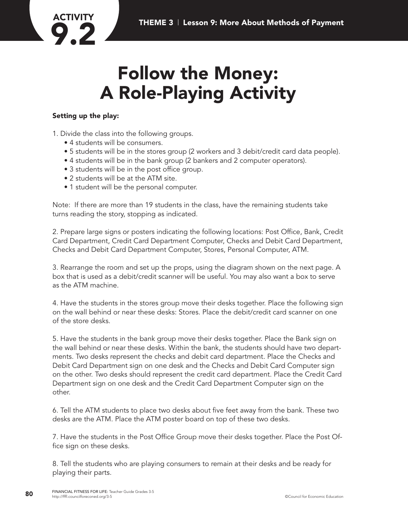

# **Follow the Money: A Role-Playing Activity**

### **Setting up the play:**

1. Divide the class into the following groups.

- 4 students will be consumers.
- 5 students will be in the stores group (2 workers and 3 debit/credit card data people).
- 4 students will be in the bank group (2 bankers and 2 computer operators).
- 3 students will be in the post office group.
- 2 students will be at the ATM site.
- 1 student will be the personal computer.

Note: If there are more than 19 students in the class, have the remaining students take turns reading the story, stopping as indicated.

2. Prepare large signs or posters indicating the following locations: Post Office, Bank, Credit Card Department, Credit Card Department Computer, Checks and Debit Card Department, Checks and Debit Card Department Computer, Stores, Personal Computer, ATM.

3. Rearrange the room and set up the props, using the diagram shown on the next page. A box that is used as a debit/credit scanner will be useful. You may also want a box to serve as the ATM machine.

4. Have the students in the stores group move their desks together. Place the following sign on the wall behind or near these desks: Stores. Place the debit/credit card scanner on one of the store desks.

5. Have the students in the bank group move their desks together. Place the Bank sign on the wall behind or near these desks. Within the bank, the students should have two departments. Two desks represent the checks and debit card department. Place the Checks and Debit Card Department sign on one desk and the Checks and Debit Card Computer sign on the other. Two desks should represent the credit card department. Place the Credit Card Department sign on one desk and the Credit Card Department Computer sign on the other.

6. Tell the ATM students to place two desks about five feet away from the bank. These two desks are the ATM. Place the ATM poster board on top of these two desks.

7. Have the students in the Post Office Group move their desks together. Place the Post Office sign on these desks.

8. Tell the students who are playing consumers to remain at their desks and be ready for playing their parts.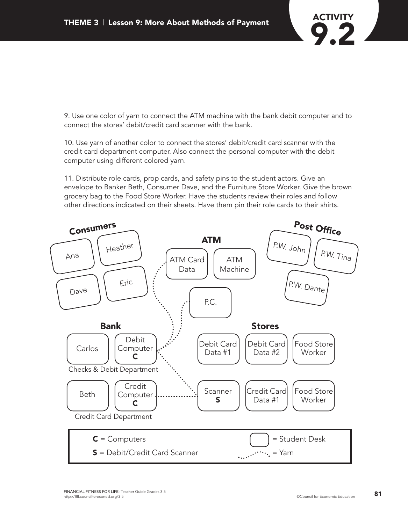

9. Use one color of yarn to connect the ATM machine with the bank debit computer and to connect the stores' debit/credit card scanner with the bank.

10. Use yarn of another color to connect the stores' debit/credit card scanner with the credit card department computer. Also connect the personal computer with the debit computer using different colored yarn.

11. Distribute role cards, prop cards, and safety pins to the student actors. Give an envelope to Banker Beth, Consumer Dave, and the Furniture Store Worker. Give the brown grocery bag to the Food Store Worker. Have the students review their roles and follow other directions indicated on their sheets. Have them pin their role cards to their shirts.

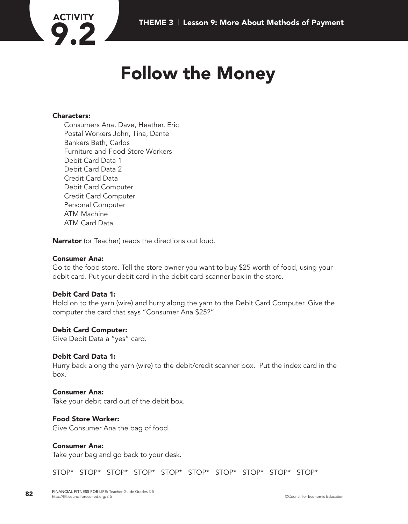

# **Follow the Money**

#### **Characters:**

Consumers Ana, Dave, Heather, Eric Postal Workers John, Tina, Dante Bankers Beth, Carlos Furniture and Food Store Workers Debit Card Data 1 Debit Card Data 2 Credit Card Data Debit Card Computer Credit Card Computer Personal Computer ATM Machine ATM Card Data

**Narrator** (or Teacher) reads the directions out loud.

#### **Consumer Ana:**

Go to the food store. Tell the store owner you want to buy \$25 worth of food, using your debit card. Put your debit card in the debit card scanner box in the store.

#### **Debit Card Data 1:**

Hold on to the yarn (wire) and hurry along the yarn to the Debit Card Computer. Give the computer the card that says "Consumer Ana \$25?"

#### **Debit Card Computer:**

Give Debit Data a "yes" card.

#### **Debit Card Data 1:**

Hurry back along the yarn (wire) to the debit/credit scanner box. Put the index card in the box.

#### **Consumer Ana:**

Take your debit card out of the debit box.

#### **Food Store Worker:**

Give Consumer Ana the bag of food.

#### **Consumer Ana:**

Take your bag and go back to your desk.

STOP\* STOP\* STOP\* STOP\* STOP\* STOP\* STOP\* STOP\* STOP\* STOP\*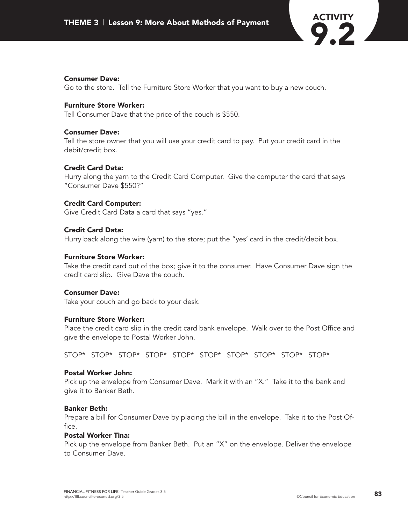

#### **Consumer Dave:**

Go to the store. Tell the Furniture Store Worker that you want to buy a new couch.

#### **Furniture Store Worker:**

Tell Consumer Dave that the price of the couch is \$550.

#### **Consumer Dave:**

Tell the store owner that you will use your credit card to pay. Put your credit card in the debit/credit box.

#### **Credit Card Data:**

Hurry along the yarn to the Credit Card Computer. Give the computer the card that says "Consumer Dave \$550?"

#### **Credit Card Computer:**

Give Credit Card Data a card that says "yes."

#### **Credit Card Data:**

Hurry back along the wire (yarn) to the store; put the "yes' card in the credit/debit box.

#### **Furniture Store Worker:**

Take the credit card out of the box; give it to the consumer. Have Consumer Dave sign the credit card slip. Give Dave the couch.

#### **Consumer Dave:**

Take your couch and go back to your desk.

#### **Furniture Store Worker:**

Place the credit card slip in the credit card bank envelope. Walk over to the Post Office and give the envelope to Postal Worker John.

STOP\* STOP\* STOP\* STOP\* STOP\* STOP\* STOP\* STOP\* STOP\* STOP\*

#### **Postal Worker John:**

Pick up the envelope from Consumer Dave. Mark it with an "X." Take it to the bank and give it to Banker Beth.

#### **Banker Beth:**

Prepare a bill for Consumer Dave by placing the bill in the envelope. Take it to the Post Office.

#### **Postal Worker Tina:**

Pick up the envelope from Banker Beth. Put an "X" on the envelope. Deliver the envelope to Consumer Dave.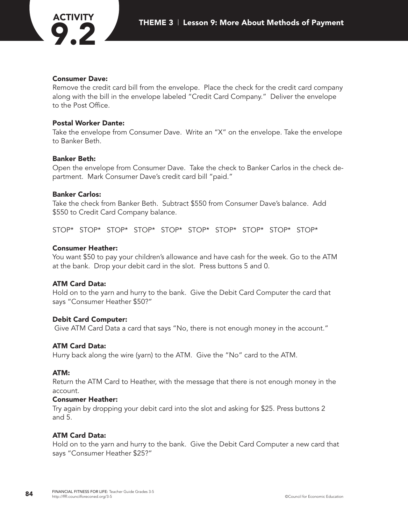#### **Consumer Dave:**

Remove the credit card bill from the envelope. Place the check for the credit card company along with the bill in the envelope labeled "Credit Card Company." Deliver the envelope to the Post Office.

#### **Postal Worker Dante:**

Take the envelope from Consumer Dave. Write an "X" on the envelope. Take the envelope to Banker Beth.

#### **Banker Beth:**

Open the envelope from Consumer Dave. Take the check to Banker Carlos in the check department. Mark Consumer Dave's credit card bill "paid."

#### **Banker Carlos:**

Take the check from Banker Beth. Subtract \$550 from Consumer Dave's balance. Add \$550 to Credit Card Company balance.

STOP\* STOP\* STOP\* STOP\* STOP\* STOP\* STOP\* STOP\* STOP\* STOP\*

#### **Consumer Heather:**

You want \$50 to pay your children's allowance and have cash for the week. Go to the ATM at the bank. Drop your debit card in the slot. Press buttons 5 and 0.

#### **ATM Card Data:**

Hold on to the yarn and hurry to the bank. Give the Debit Card Computer the card that says "Consumer Heather \$50?"

#### **Debit Card Computer:**

Give ATM Card Data a card that says "No, there is not enough money in the account."

#### **ATM Card Data:**

Hurry back along the wire (yarn) to the ATM. Give the "No" card to the ATM.

#### **ATM:**

Return the ATM Card to Heather, with the message that there is not enough money in the account.

#### **Consumer Heather:**

Try again by dropping your debit card into the slot and asking for \$25. Press buttons 2 and 5.

#### **ATM Card Data:**

Hold on to the yarn and hurry to the bank. Give the Debit Card Computer a new card that says "Consumer Heather \$25?"